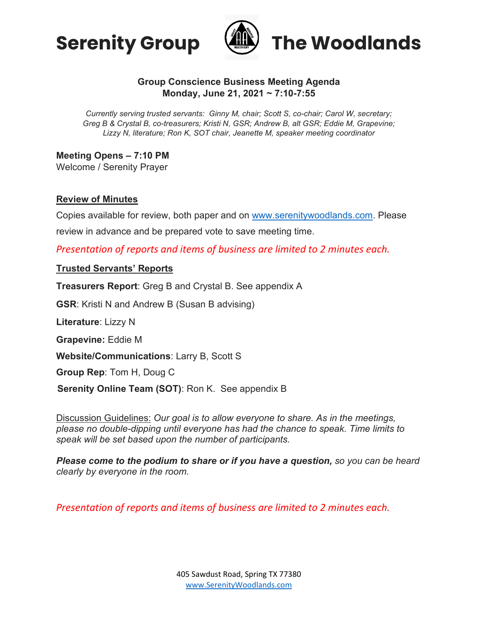



## **Group Conscience Business Meeting Agenda Monday, June 21, 2021 ~ 7:10-7:55**

*Currently serving trusted servants: Ginny M, chair; Scott S, co-chair; Carol W, secretary; Greg B & Crystal B, co-treasurers; Kristi N, GSR; Andrew B, alt GSR; Eddie M, Grapevine; Lizzy N, literature; Ron K, SOT chair, Jeanette M, speaker meeting coordinator*

**Meeting Opens – 7:10 PM**

Welcome / Serenity Prayer

#### **Review of Minutes**

Copies available for review, both paper and on [www.serenitywoodlands.com.](http://www.serenitywoodlands.com/) Please review in advance and be prepared vote to save meeting time.

*Presentation of reports and items of business are limited to 2 minutes each.*

#### **Trusted Servants' Reports**

**Treasurers Report**: Greg B and Crystal B. See appendix A

**GSR**: Kristi N and Andrew B (Susan B advising)

**Literature**: Lizzy N

**Grapevine:** Eddie M

**Website/Communications**: Larry B, Scott S

**Group Rep**: Tom H, Doug C

**Serenity Online Team (SOT)**: Ron K. See appendix B

Discussion Guidelines: *Our goal is to allow everyone to share. As in the meetings, please no double-dipping until everyone has had the chance to speak. Time limits to speak will be set based upon the number of participants.*

*Please come to the podium to share or if you have a question, so you can be heard clearly by everyone in the room.*

*Presentation of reports and items of business are limited to 2 minutes each.*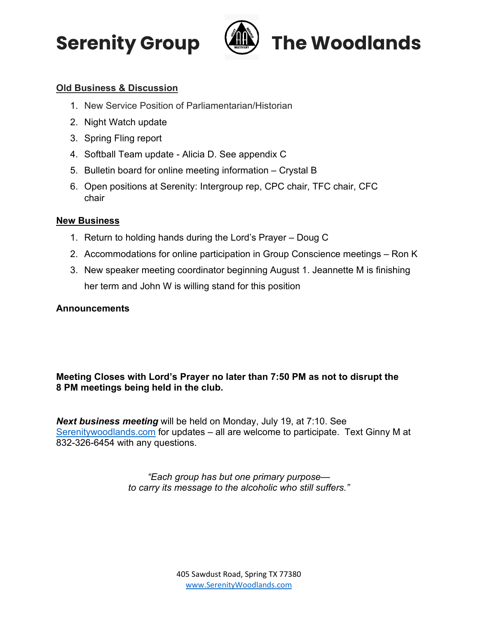



# **Old Business & Discussion**

- 1. New Service Position of Parliamentarian/Historian
- 2. Night Watch update
- 3. Spring Fling report
- 4. Softball Team update Alicia D. See appendix C
- 5. Bulletin board for online meeting information Crystal B
- 6. Open positions at Serenity: Intergroup rep, CPC chair, TFC chair, CFC chair

## **New Business**

- 1. Return to holding hands during the Lord's Prayer Doug C
- 2. Accommodations for online participation in Group Conscience meetings Ron K
- 3. New speaker meeting coordinator beginning August 1. Jeannette M is finishing her term and John W is willing stand for this position

### **Announcements**

# **Meeting Closes with Lord's Prayer no later than 7:50 PM as not to disrupt the 8 PM meetings being held in the club.**

*Next business meeting* will be held on Monday, July 19, at 7:10. See [Serenitywoodlands.com](https://serenitywoodlands.com/) for updates – all are welcome to participate. Text Ginny M at 832-326-6454 with any questions.

> *"Each group has but one primary purpose to carry its message to the alcoholic who still suffers."*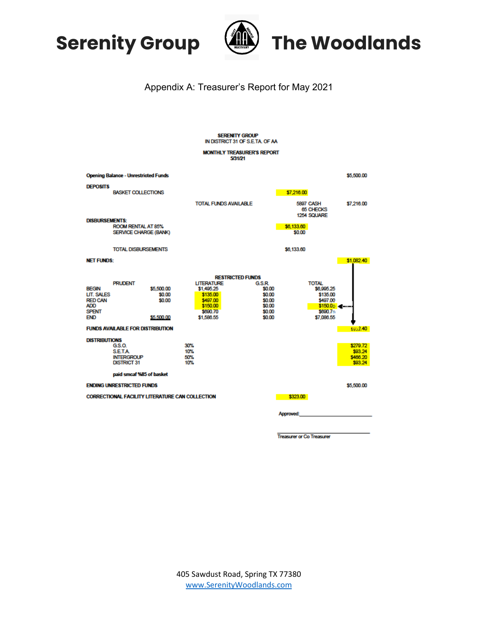



# Appendix A: Treasurer's Report for May 2021

| <b>SERENITY GROUP</b><br>IN DISTRICT 31 OF S.E.TA, OF AA                                 |                                                                      |                                              |                                                                                               |                              |                                                                    |                      |                                                                                                |                                            |  |  |  |
|------------------------------------------------------------------------------------------|----------------------------------------------------------------------|----------------------------------------------|-----------------------------------------------------------------------------------------------|------------------------------|--------------------------------------------------------------------|----------------------|------------------------------------------------------------------------------------------------|--------------------------------------------|--|--|--|
| <b>MONTHLY TREASURER'S REPORT</b><br>5/31/21                                             |                                                                      |                                              |                                                                                               |                              |                                                                    |                      |                                                                                                |                                            |  |  |  |
|                                                                                          | <b>Opening Balance - Unrestricted Funds</b>                          |                                              |                                                                                               |                              |                                                                    |                      |                                                                                                | \$5,500.00                                 |  |  |  |
| <b>DEPOSITS</b>                                                                          | <b>BASKET COLLECTIONS</b>                                            |                                              |                                                                                               |                              |                                                                    | \$7,216.00           |                                                                                                |                                            |  |  |  |
|                                                                                          |                                                                      |                                              |                                                                                               | <b>TOTAL FUNDS AVAILABLE</b> |                                                                    |                      | <b>5897 CASH</b><br>65 CHECKS<br>1254 SQUARE                                                   |                                            |  |  |  |
|                                                                                          | <b>DISBURSEMENTS:</b><br>ROOM RENTAL AT 85%<br>SERVICE CHARGE (BANK) |                                              |                                                                                               |                              |                                                                    | \$6,133.60<br>\$0.00 |                                                                                                |                                            |  |  |  |
|                                                                                          | <b>TOTAL DISBURSEMENTS</b>                                           |                                              |                                                                                               |                              |                                                                    | \$6,133.60           |                                                                                                |                                            |  |  |  |
| <b>NET FUNDS:</b>                                                                        |                                                                      |                                              |                                                                                               |                              |                                                                    |                      |                                                                                                | \$1.082.40                                 |  |  |  |
| <b>BEGIN</b><br>LIT. SALES<br><b>RED CAN</b><br><b>ADD</b><br><b>SPENT</b><br><b>END</b> | <b>PRUDENT</b>                                                       | \$5,500.00<br>\$0.00<br>\$0.00<br>\$5,500.00 | <b>LITERATURE</b><br>\$1,495.25<br>\$135.00<br>\$497.00<br>\$150.00<br>\$690.70<br>\$1,586.55 | <b>RESTRICTED FUNDS</b>      | G.S.R.<br>\$0.00<br>\$0.00<br>\$0.00<br>\$0.00<br>\$0.00<br>\$0.00 |                      | <b>TOTAL</b><br>\$6,995.25<br>\$135.00<br>\$497.00<br>\$150.0p at ---<br>\$690.7<br>\$7,086.55 |                                            |  |  |  |
| <b>FUNDS AVAILABLE FOR DISTRIBUTION</b><br>\$932.40                                      |                                                                      |                                              |                                                                                               |                              |                                                                    |                      |                                                                                                |                                            |  |  |  |
| <b>DISTRIBUTIONS</b>                                                                     | GS.O.<br><b>SETA</b><br><b>INTERGROUP</b><br><b>DISTRICT 31</b>      |                                              | 30%<br>10%<br>50%<br>10%                                                                      |                              |                                                                    |                      |                                                                                                | \$279.72<br>\$93.24<br>\$466.20<br>\$93.24 |  |  |  |
| paid smcaf %85 of basket<br><b>ENDING UNRESTRICTED FUNDS</b><br>\$5,500.00               |                                                                      |                                              |                                                                                               |                              |                                                                    |                      |                                                                                                |                                            |  |  |  |
| <b>CORRECTIONAL FACILITY LITERATURE CAN COLLECTION</b>                                   |                                                                      |                                              |                                                                                               |                              |                                                                    |                      |                                                                                                |                                            |  |  |  |
|                                                                                          |                                                                      |                                              |                                                                                               |                              |                                                                    | <b>Approved:</b>     |                                                                                                |                                            |  |  |  |

**Treasurer or Co Treasurer**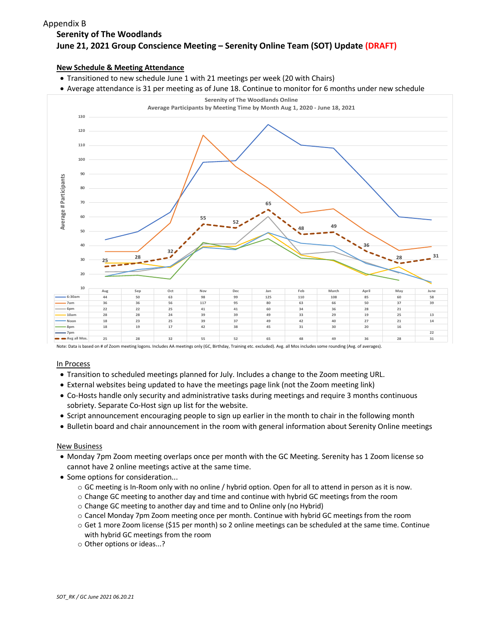#### **Serenity of The Woodlands June 21, 2021 Group Conscience Meeting – Serenity Online Team (SOT) Update (DRAFT)** Appendix B

#### **New Schedule & Meeting Attendance**

- Transitioned to new schedule June 1 with 21 meetings per week (20 with Chairs)
- Average attendance is 31 per meeting as of June 18. Continue to monitor for 6 months under new schedule



#### In Process

- Transition to scheduled meetings planned for July. Includes a change to the Zoom meeting URL.
- External websites being updated to have the meetings page link (not the Zoom meeting link)
- Co-Hosts handle only security and administrative tasks during meetings and require 3 months continuous sobriety. Separate Co-Host sign up list for the website.
- Script announcement encouraging people to sign up earlier in the month to chair in the following month
- Bulletin board and chair announcement in the room with general information about Serenity Online meetings

#### New Business

- Monday 7pm Zoom meeting overlaps once per month with the GC Meeting. Serenity has 1 Zoom license so cannot have 2 online meetings active at the same time.
- Some options for consideration...
	- o GC meeting is In-Room only with no online / hybrid option. Open for all to attend in person as it is now.
	- $\circ$  Change GC meeting to another day and time and continue with hybrid GC meetings from the room
	- o Change GC meeting to another day and time and to Online only (no Hybrid)
	- o Cancel Monday 7pm Zoom meeting once per month. Continue with hybrid GC meetings from the room
	- o Get 1 more Zoom license (\$15 per month) so 2 online meetings can be scheduled at the same time. Continue with hybrid GC meetings from the room
	- o Other options or ideas...?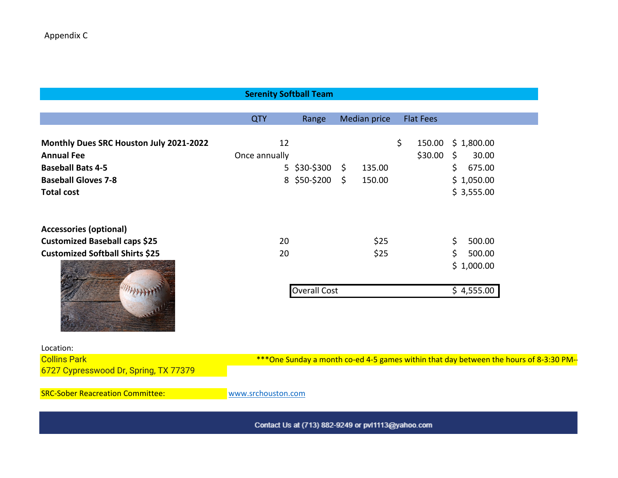|                                                                                                                                             | <b>Serenity Softball Team</b> |                                                                                         |                     |                         |               |                                                           |  |
|---------------------------------------------------------------------------------------------------------------------------------------------|-------------------------------|-----------------------------------------------------------------------------------------|---------------------|-------------------------|---------------|-----------------------------------------------------------|--|
|                                                                                                                                             |                               |                                                                                         |                     |                         |               |                                                           |  |
|                                                                                                                                             | <b>QTY</b>                    | Range                                                                                   | <b>Median price</b> | <b>Flat Fees</b>        |               |                                                           |  |
| Monthly Dues SRC Houston July 2021-2022<br><b>Annual Fee</b><br><b>Baseball Bats 4-5</b><br><b>Baseball Gloves 7-8</b><br><b>Total cost</b> | 12<br>Once annually           | $5$ \$30-\$300 \$<br>8 \$50-\$200 \$                                                    | 135.00<br>150.00    | \$<br>150.00<br>\$30.00 | $\zeta$<br>\$ | \$1,800.00<br>30.00<br>675.00<br>\$1,050.00<br>\$3,555.00 |  |
| <b>Accessories (optional)</b><br><b>Customized Baseball caps \$25</b><br><b>Customized Softball Shirts \$25</b>                             | 20<br>20                      |                                                                                         | \$25<br>\$25        |                         | \$<br>\$      | 500.00<br>500.00<br>\$1,000.00                            |  |
|                                                                                                                                             |                               | <b>Overall Cost</b>                                                                     |                     |                         |               | \$4,555.00                                                |  |
| Location:                                                                                                                                   |                               |                                                                                         |                     |                         |               |                                                           |  |
| <b>Collins Park</b><br>6727 Cypresswood Dr, Spring, TX 77379                                                                                |                               | *** One Sunday a month co-ed 4-5 games within that day between the hours of 8-3:30 PM-- |                     |                         |               |                                                           |  |
| <b>SRC-Sober Reacreation Committee:</b>                                                                                                     | www.srchouston.com            |                                                                                         |                     |                         |               |                                                           |  |
|                                                                                                                                             |                               |                                                                                         |                     |                         |               |                                                           |  |

Contact Us at (713) 882-9249 or pvl1113@yahoo.com